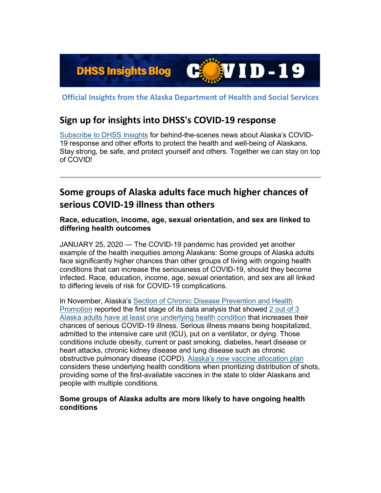

**Official Insights from the Alaska Department of Health and Social Services**

## **Sign up for insights into DHSS's COVID-19 response**

[Subscribe to DHSS Insights](https://lnks.gd/l/eyJhbGciOiJIUzI1NiJ9.eyJidWxsZXRpbl9saW5rX2lkIjoxMDAsInVyaSI6ImJwMjpjbGljayIsImJ1bGxldGluX2lkIjoiMjAyMTAxMjUuMzM5MjE4MTEiLCJ1cmwiOiJodHRwczovL3B1YmxpYy5nb3ZkZWxpdmVyeS5jb20vYWNjb3VudHMvQUtESFNTL3N1YnNjcmliZXIvbmV3P3RvcGljX2lkPUFLREhTU18xNzYifQ.VAuWUKO-zKi1NSNA7YTXFbHVBnTQPQsIsGnrI6R4b6g/s/1125523096/br/93575017330-l) for behind-the-scenes news about Alaska's COVID-19 response and other efforts to protect the health and well-being of Alaskans. Stay strong, be safe, and protect yourself and others. Together we can stay on top of COVID!

# **Some groups of Alaska adults face much higher chances of serious COVID-19 illness than others**

**Race, education, income, age, sexual orientation, and sex are linked to differing health outcomes**

JANUARY 25, 2020 — The COVID-19 pandemic has provided yet another example of the health inequities among Alaskans: Some groups of Alaska adults face significantly higher chances than other groups of living with ongoing health conditions that can increase the seriousness of COVID-19, should they become infected. Race, education, income, age, sexual orientation, and sex are all linked to differing levels of risk for COVID-19 complications.

In November, Alaska's Section of Chronic Disease Prevention and Health [Promotion](https://lnks.gd/l/eyJhbGciOiJIUzI1NiJ9.eyJidWxsZXRpbl9saW5rX2lkIjoxMDEsInVyaSI6ImJwMjpjbGljayIsImJ1bGxldGluX2lkIjoiMjAyMTAxMjUuMzM5MjE4MTEiLCJ1cmwiOiJodHRwOi8vZGhzcy5hbGFza2EuZ292L2RwaC9DaHJvbmljL1BhZ2VzL2RlZmF1bHQuYXNweCJ9.lO1wT6Y5rN0p_Ju4sK0jpRA5PrgpLzGI9rMr6CAFJb4/s/1125523096/br/93575017330-l) reported the first stage of its data analysis that showed [2 out of 3](https://lnks.gd/l/eyJhbGciOiJIUzI1NiJ9.eyJidWxsZXRpbl9saW5rX2lkIjoxMDIsInVyaSI6ImJwMjpjbGljayIsImJ1bGxldGluX2lkIjoiMjAyMTAxMjUuMzM5MjE4MTEiLCJ1cmwiOiJodHRwOi8vZGhzcy5hbGFza2EuZ292L2RwaC9FcGkvaWQvUGFnZXMvQ09WSUQtMTkvYmxvZy8yMDIwMTExNy5hc3B4In0.gS0W-SF6LfSA20KeV4fCCgIyAgKXaPsYfbeShJv_32E/s/1125523096/br/93575017330-l)  [Alaska adults have at least one underlying health condition](https://lnks.gd/l/eyJhbGciOiJIUzI1NiJ9.eyJidWxsZXRpbl9saW5rX2lkIjoxMDIsInVyaSI6ImJwMjpjbGljayIsImJ1bGxldGluX2lkIjoiMjAyMTAxMjUuMzM5MjE4MTEiLCJ1cmwiOiJodHRwOi8vZGhzcy5hbGFza2EuZ292L2RwaC9FcGkvaWQvUGFnZXMvQ09WSUQtMTkvYmxvZy8yMDIwMTExNy5hc3B4In0.gS0W-SF6LfSA20KeV4fCCgIyAgKXaPsYfbeShJv_32E/s/1125523096/br/93575017330-l) that increases their chances of serious COVID-19 illness. Serious illness means being hospitalized, admitted to the intensive care unit (ICU), put on a ventilator, or dying. Those conditions include obesity, current or past smoking, diabetes, heart disease or heart attacks, chronic kidney disease and lung disease such as chronic obstructive pulmonary disease (COPD). [Alaska's new vaccine allocation plan](https://lnks.gd/l/eyJhbGciOiJIUzI1NiJ9.eyJidWxsZXRpbl9saW5rX2lkIjoxMDMsInVyaSI6ImJwMjpjbGljayIsImJ1bGxldGluX2lkIjoiMjAyMTAxMjUuMzM5MjE4MTEiLCJ1cmwiOiJodHRwOi8vZGhzcy5hbGFza2EuZ292L2RwaC9FcGkvaWQvUGFnZXMvQ09WSUQtMTkvVmFjY2luZUF2YWlsYWJpbGl0eS5hc3B4I25vdyJ9.bpkf4VhZfYR1rHNNqJKq62CaF7HxCP-P6iqHkhjs3aI/s/1125523096/br/93575017330-l) considers these underlying health conditions when prioritizing distribution of shots, providing some of the first-available vaccines in the state to older Alaskans and people with multiple conditions.

#### **Some groups of Alaska adults are more likely to have ongoing health conditions**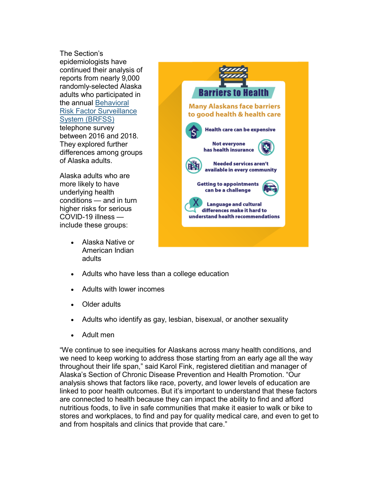The Section's epidemiologists have continued their analysis of reports from nearly 9,000 randomly-selected Alaska adults who participated in the annual [Behavioral](https://lnks.gd/l/eyJhbGciOiJIUzI1NiJ9.eyJidWxsZXRpbl9saW5rX2lkIjoxMDQsInVyaSI6ImJwMjpjbGljayIsImJ1bGxldGluX2lkIjoiMjAyMTAxMjUuMzM5MjE4MTEiLCJ1cmwiOiJodHRwOi8vZGhzcy5hbGFza2EuZ292L2RwaC9DaHJvbmljL1BhZ2VzL2JyZnNzL2RlZmF1bHQuYXNweCJ9.QJOoSpbd1xyrCIWVQA6wZDAKbutuMpioaf9x_ZiNI6A/s/1125523096/br/93575017330-l)  Risk Factor [Surveillance](https://lnks.gd/l/eyJhbGciOiJIUzI1NiJ9.eyJidWxsZXRpbl9saW5rX2lkIjoxMDQsInVyaSI6ImJwMjpjbGljayIsImJ1bGxldGluX2lkIjoiMjAyMTAxMjUuMzM5MjE4MTEiLCJ1cmwiOiJodHRwOi8vZGhzcy5hbGFza2EuZ292L2RwaC9DaHJvbmljL1BhZ2VzL2JyZnNzL2RlZmF1bHQuYXNweCJ9.QJOoSpbd1xyrCIWVQA6wZDAKbutuMpioaf9x_ZiNI6A/s/1125523096/br/93575017330-l)  [System \(BRFSS\)](https://lnks.gd/l/eyJhbGciOiJIUzI1NiJ9.eyJidWxsZXRpbl9saW5rX2lkIjoxMDQsInVyaSI6ImJwMjpjbGljayIsImJ1bGxldGluX2lkIjoiMjAyMTAxMjUuMzM5MjE4MTEiLCJ1cmwiOiJodHRwOi8vZGhzcy5hbGFza2EuZ292L2RwaC9DaHJvbmljL1BhZ2VzL2JyZnNzL2RlZmF1bHQuYXNweCJ9.QJOoSpbd1xyrCIWVQA6wZDAKbutuMpioaf9x_ZiNI6A/s/1125523096/br/93575017330-l) telephone survey between 2016 and 2018. They explored further differences among groups of Alaska adults.

Alaska adults who are more likely to have underlying health conditions — and in turn higher risks for serious COVID-19 illness include these groups:

> • Alaska Native or American Indian adults



- Adults who have less than a college education
- Adults with lower incomes
- Older adults
- Adults who identify as gay, lesbian, bisexual, or another sexuality
- Adult men

"We continue to see inequities for Alaskans across many health conditions, and we need to keep working to address those starting from an early age all the way throughout their life span," said Karol Fink, registered dietitian and manager of Alaska's Section of Chronic Disease Prevention and Health Promotion. "Our analysis shows that factors like race, poverty, and lower levels of education are linked to poor health outcomes. But it's important to understand that these factors are connected to health because they can impact the ability to find and afford nutritious foods, to live in safe communities that make it easier to walk or bike to stores and workplaces, to find and pay for quality medical care, and even to get to and from hospitals and clinics that provide that care."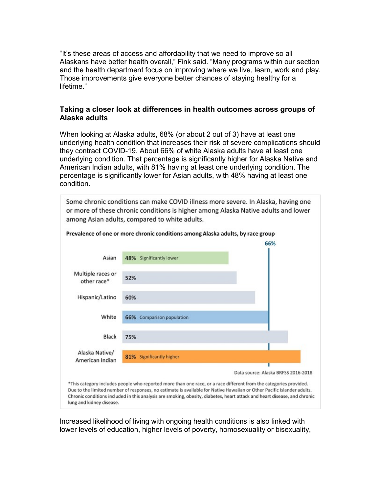"It's these areas of access and affordability that we need to improve so all Alaskans have better health overall," Fink said. "Many programs within our section and the health department focus on improving where we live, learn, work and play. Those improvements give everyone better chances of staying healthy for a lifetime."

#### **Taking a closer look at differences in health outcomes across groups of Alaska adults**

When looking at Alaska adults, 68% (or about 2 out of 3) have at least one underlying health condition that increases their risk of severe complications should they contract COVID-19. About 66% of white Alaska adults have at least one underlying condition. That percentage is significantly higher for Alaska Native and American Indian adults, with 81% having at least one underlying condition. The percentage is significantly lower for Asian adults, with 48% having at least one condition.



Due to the limited number of responses, no estimate is available for Native Hawaiian or Other Pacific Islander adults. Chronic conditions included in this analysis are smoking, obesity, diabetes, heart attack and heart disease, and chronic lung and kidney disease.

Increased likelihood of living with ongoing health conditions is also linked with lower levels of education, higher levels of poverty, homosexuality or bisexuality,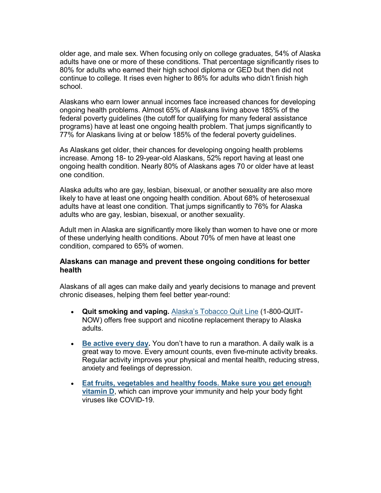older age, and male sex. When focusing only on college graduates, 54% of Alaska adults have one or more of these conditions. That percentage significantly rises to 80% for adults who earned their high school diploma or GED but then did not continue to college. It rises even higher to 86% for adults who didn't finish high school.

Alaskans who earn lower annual incomes face increased chances for developing ongoing health problems. Almost 65% of Alaskans living above 185% of the federal poverty guidelines (the cutoff for qualifying for many federal assistance programs) have at least one ongoing health problem. That jumps significantly to 77% for Alaskans living at or below 185% of the federal poverty guidelines.

As Alaskans get older, their chances for developing ongoing health problems increase. Among 18- to 29-year-old Alaskans, 52% report having at least one ongoing health condition. Nearly 80% of Alaskans ages 70 or older have at least one condition.

Alaska adults who are gay, lesbian, bisexual, or another sexuality are also more likely to have at least one ongoing health condition. About 68% of heterosexual adults have at least one condition. That jumps significantly to 76% for Alaska adults who are gay, lesbian, bisexual, or another sexuality.

Adult men in Alaska are significantly more likely than women to have one or more of these underlying health conditions. About 70% of men have at least one condition, compared to 65% of women.

#### **Alaskans can manage and prevent these ongoing conditions for better health**

Alaskans of all ages can make daily and yearly decisions to manage and prevent chronic diseases, helping them feel better year-round:

- **Quit smoking and vaping.** Alaska's [Tobacco Quit Line](https://lnks.gd/l/eyJhbGciOiJIUzI1NiJ9.eyJidWxsZXRpbl9saW5rX2lkIjoxMDUsInVyaSI6ImJwMjpjbGljayIsImJ1bGxldGluX2lkIjoiMjAyMTAxMjUuMzM5MjE4MTEiLCJ1cmwiOiJodHRwOi8vd3d3LmFsYXNrYXF1aXRsaW5lLmNvbS8ifQ.106vz2ZzpE-5-kVJfaoLUtJjhhKz1Lz5VdEh2Qmdabg/s/1125523096/br/93575017330-l) (1-800-QUIT-NOW) offers free support and nicotine replacement therapy to Alaska adults.
- **[Be active every day.](https://lnks.gd/l/eyJhbGciOiJIUzI1NiJ9.eyJidWxsZXRpbl9saW5rX2lkIjoxMDYsInVyaSI6ImJwMjpjbGljayIsImJ1bGxldGluX2lkIjoiMjAyMTAxMjUuMzM5MjE4MTEiLCJ1cmwiOiJodHRwOi8vd3d3LnBsYXlldmVyeWRheS5hbGFza2EuZ292LyJ9.IGngHGdqTqhtn1dNzU5vhGVKlG8wPg17LxjSCV-tCAU/s/1125523096/br/93575017330-l)** You don't have to run a marathon. A daily walk is a great way to move. Every amount counts, even five-minute activity breaks. Regular activity improves your physical and mental health, reducing stress, anxiety and feelings of depression.
- **[Eat fruits, vegetables and healthy foods. Make sure you get enough](https://lnks.gd/l/eyJhbGciOiJIUzI1NiJ9.eyJidWxsZXRpbl9saW5rX2lkIjoxMDcsInVyaSI6ImJwMjpjbGljayIsImJ1bGxldGluX2lkIjoiMjAyMTAxMjUuMzM5MjE4MTEiLCJ1cmwiOiJodHRwOi8vZGhzcy5hbGFza2EuZ292L2RwaC9FcGkvaWQvUGFnZXMvQ09WSUQtMTkvYmxvZy8yMDIwMTEwOS5hc3B4In0.-TRPps4EqeSo5CsE6AtWD2zdcfVl40t8jpB1189T_ok/s/1125523096/br/93575017330-l)  [vitamin D](https://lnks.gd/l/eyJhbGciOiJIUzI1NiJ9.eyJidWxsZXRpbl9saW5rX2lkIjoxMDcsInVyaSI6ImJwMjpjbGljayIsImJ1bGxldGluX2lkIjoiMjAyMTAxMjUuMzM5MjE4MTEiLCJ1cmwiOiJodHRwOi8vZGhzcy5hbGFza2EuZ292L2RwaC9FcGkvaWQvUGFnZXMvQ09WSUQtMTkvYmxvZy8yMDIwMTEwOS5hc3B4In0.-TRPps4EqeSo5CsE6AtWD2zdcfVl40t8jpB1189T_ok/s/1125523096/br/93575017330-l)**, which can improve your immunity and help your body fight viruses like COVID-19.